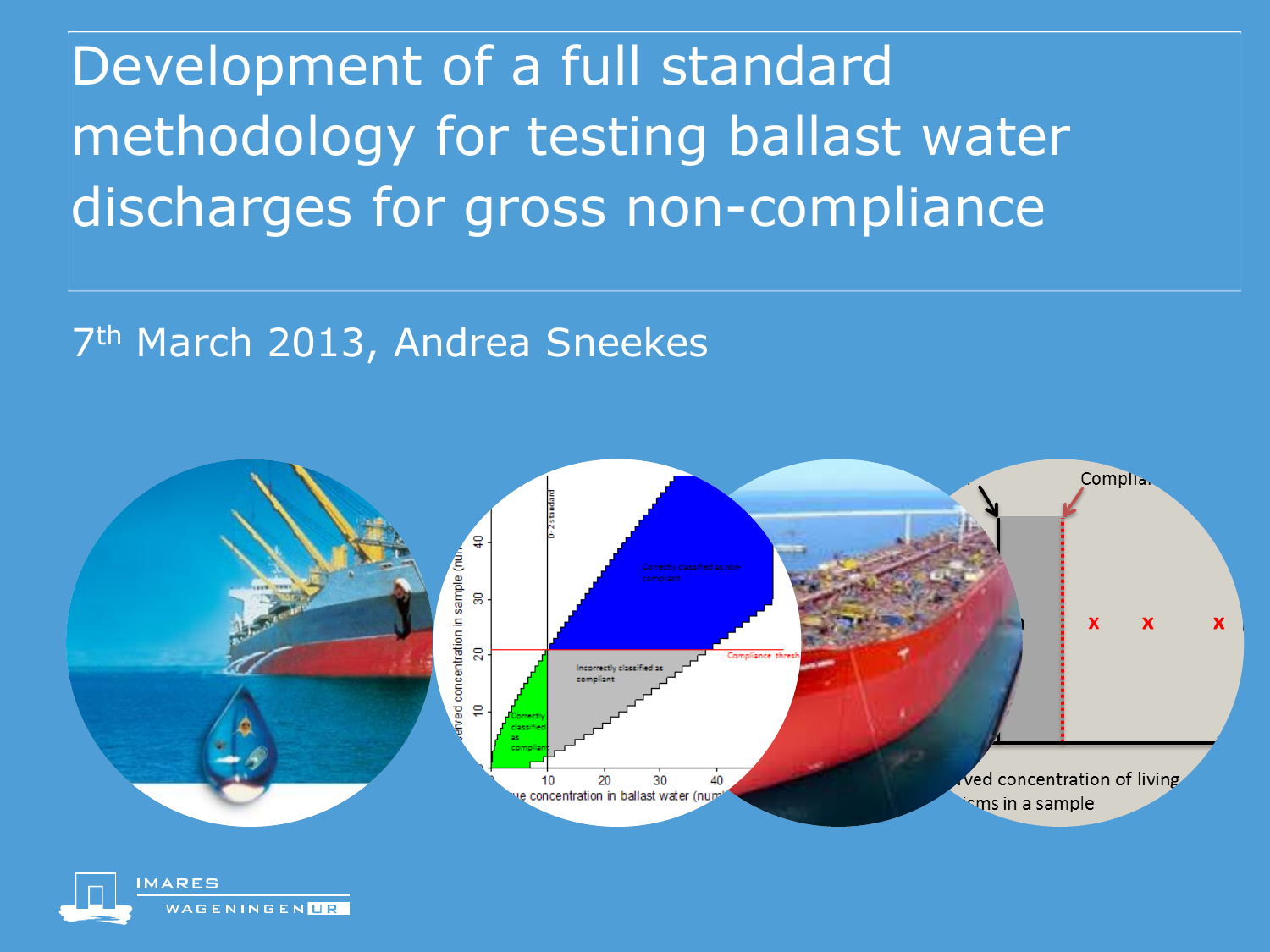Development of a full standard methodology for testing ballast water discharges for gross non-compliance

### 7<sup>th</sup> March 2013, Andrea Sneekes



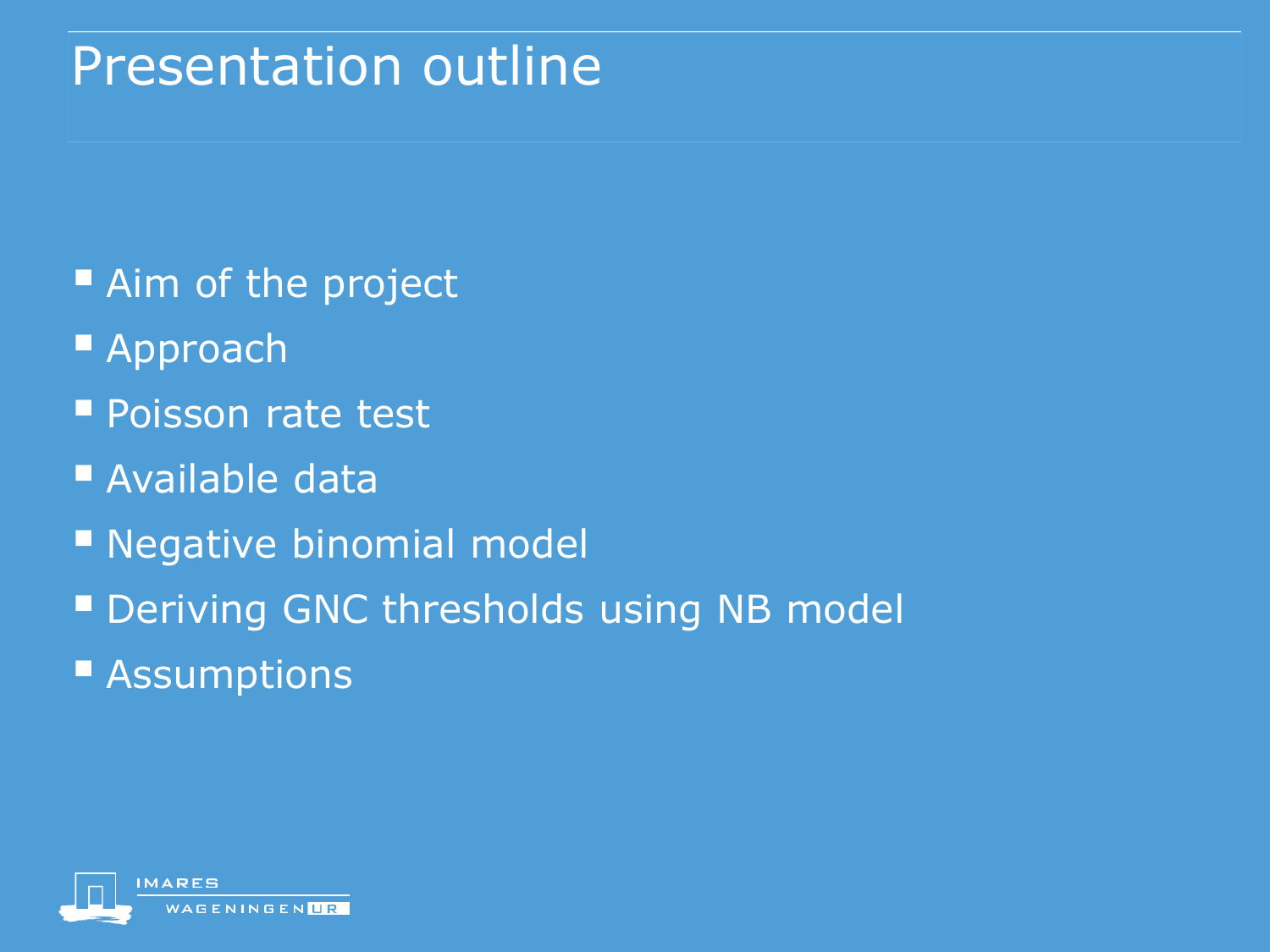## Presentation outline

- Aim of the project
- Approach
- Poisson rate test
- Available data
- **Negative binomial model**
- **Deriving GNC thresholds using NB model**
- **Assumptions**

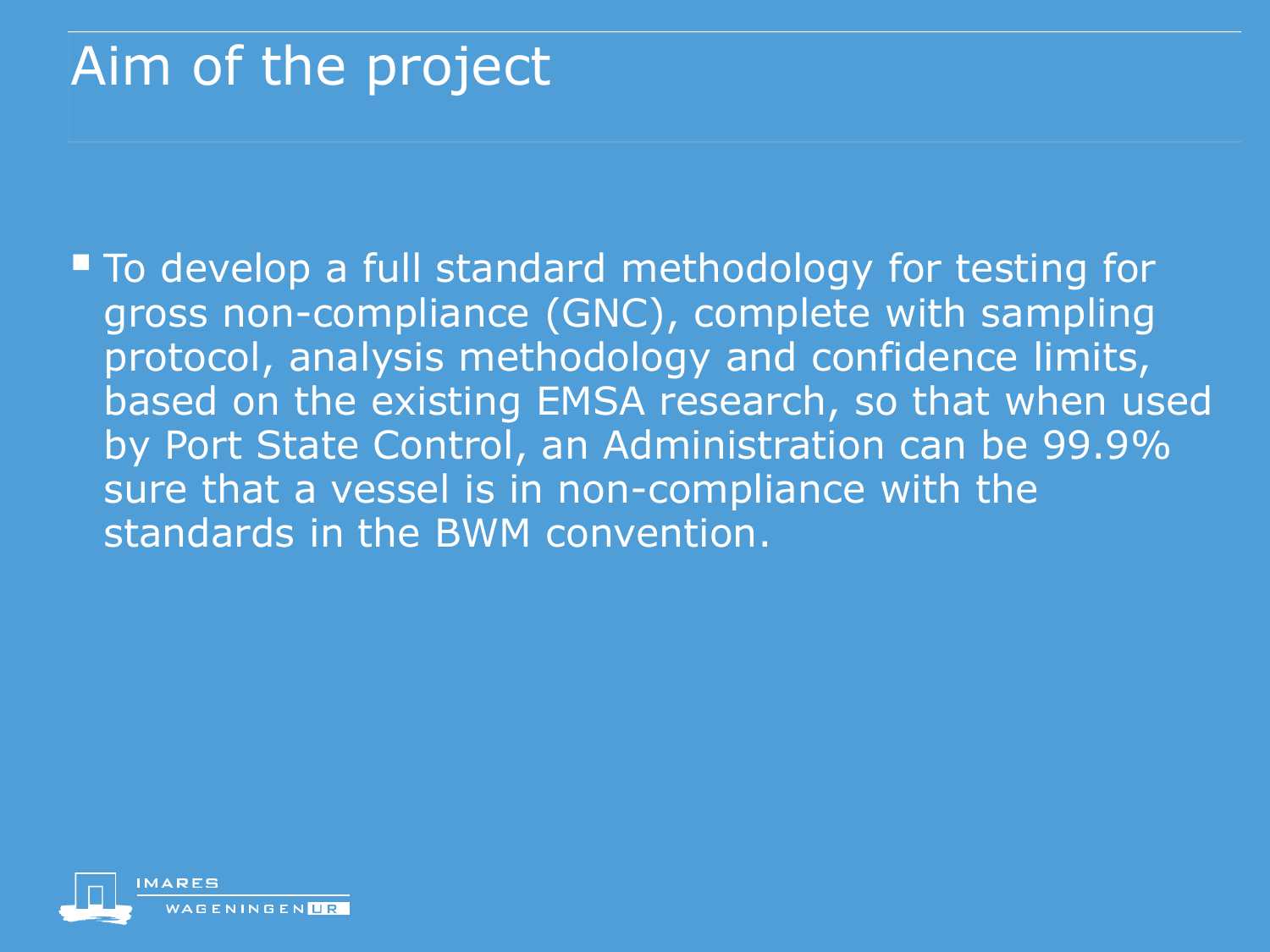## Aim of the project

■ To develop a full standard methodology for testing for gross non-compliance (GNC), complete with sampling protocol, analysis methodology and confidence limits, based on the existing EMSA research, so that when used by Port State Control, an Administration can be 99.9% sure that a vessel is in non-compliance with the standards in the BWM convention.

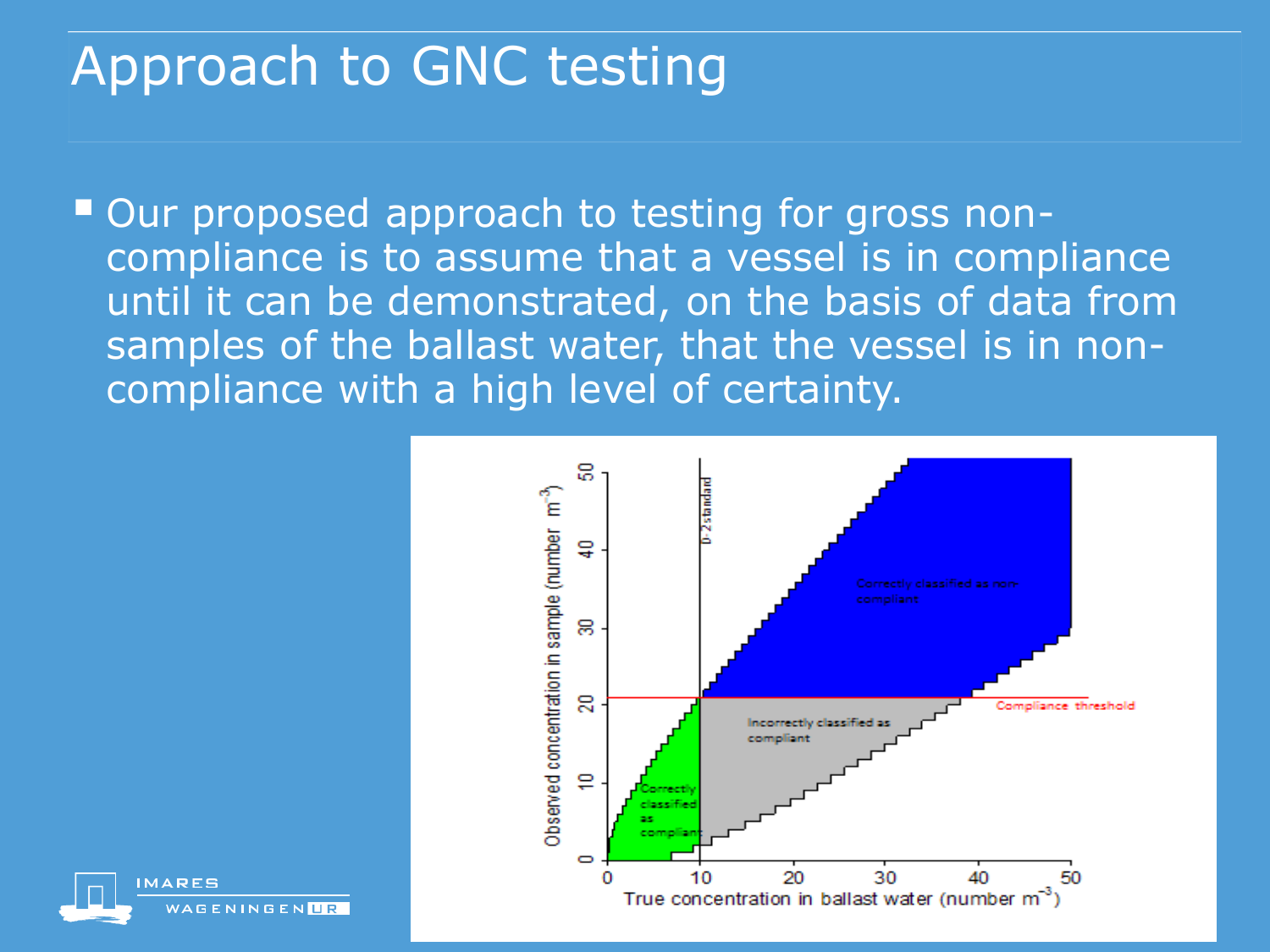## Approach to GNC testing

■ Our proposed approach to testing for gross noncompliance is to assume that a vessel is in compliance until it can be demonstrated, on the basis of data from samples of the ballast water, that the vessel is in noncompliance with a high level of certainty.



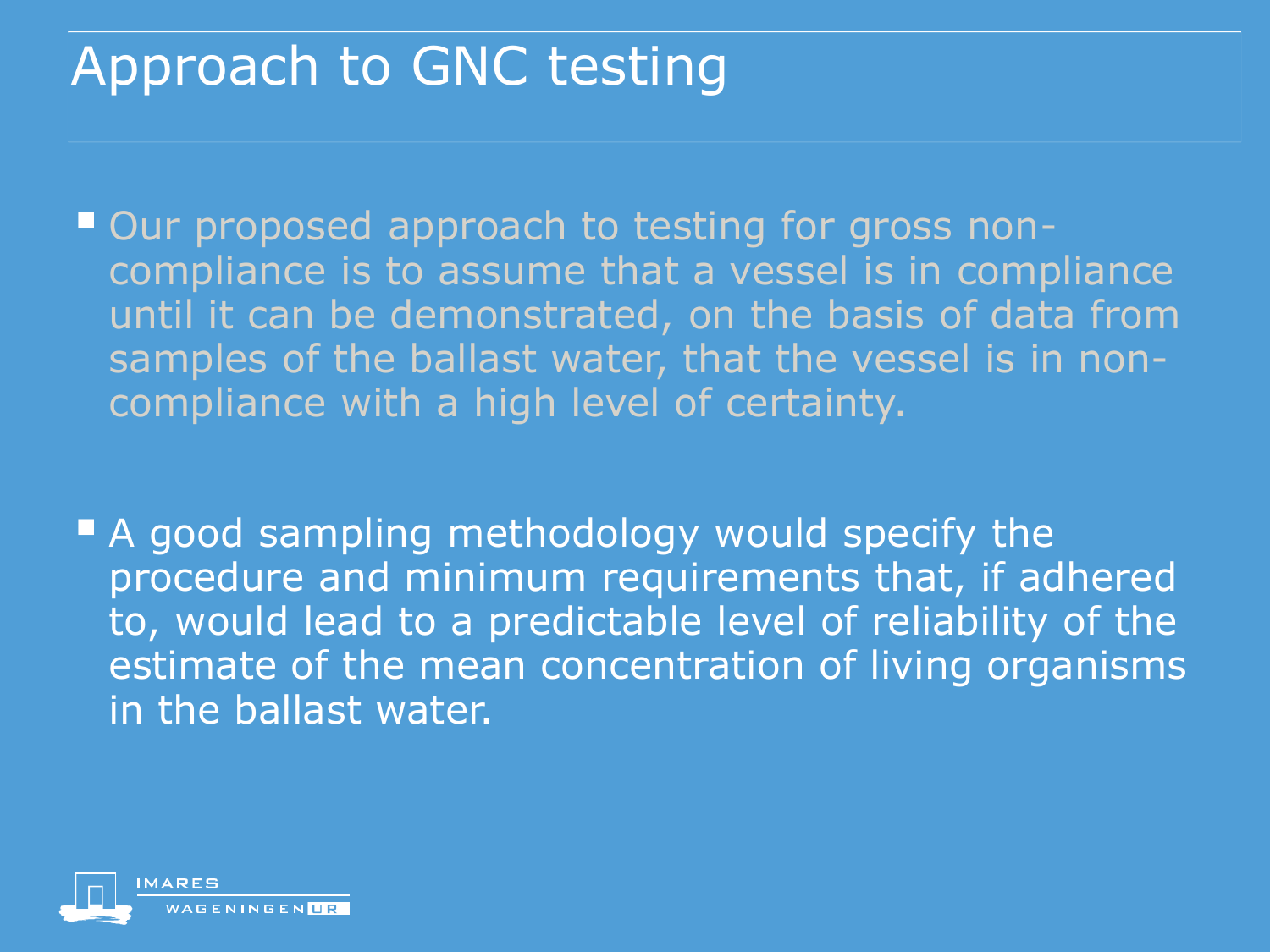## Approach to GNC testing

■ Our proposed approach to testing for gross noncompliance is to assume that a vessel is in compliance until it can be demonstrated, on the basis of data from samples of the ballast water, that the vessel is in noncompliance with a high level of certainty.

A good sampling methodology would specify the procedure and minimum requirements that, if adhered to, would lead to a predictable level of reliability of the estimate of the mean concentration of living organisms in the ballast water.

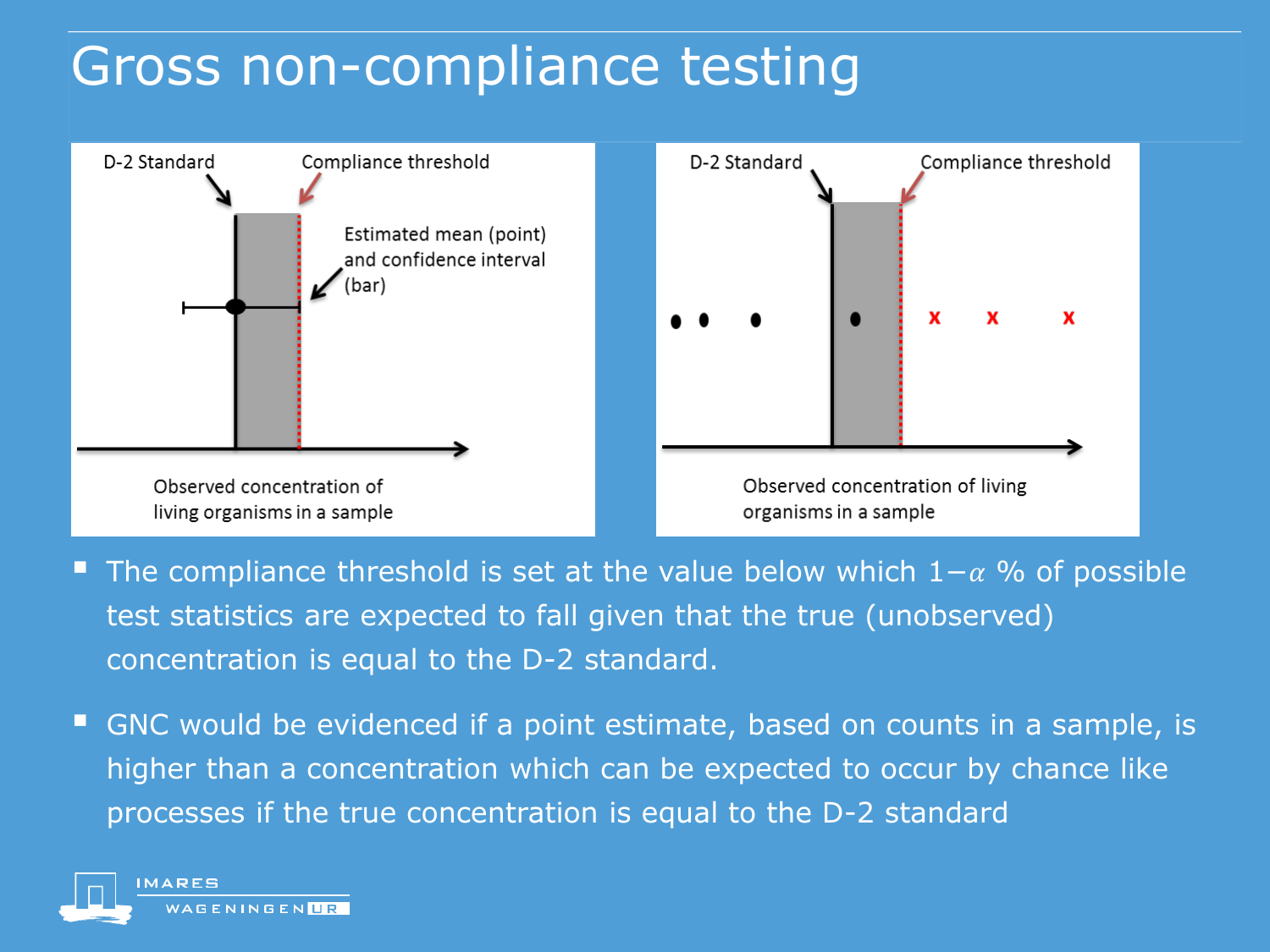## Gross non-compliance testing



- The compliance threshold is set at the value below which  $1-\alpha$  % of possible test statistics are expected to fall given that the true (unobserved) concentration is equal to the D-2 standard.
- GNC would be evidenced if a point estimate, based on counts in a sample, is higher than a concentration which can be expected to occur by chance like processes if the true concentration is equal to the D-2 standard

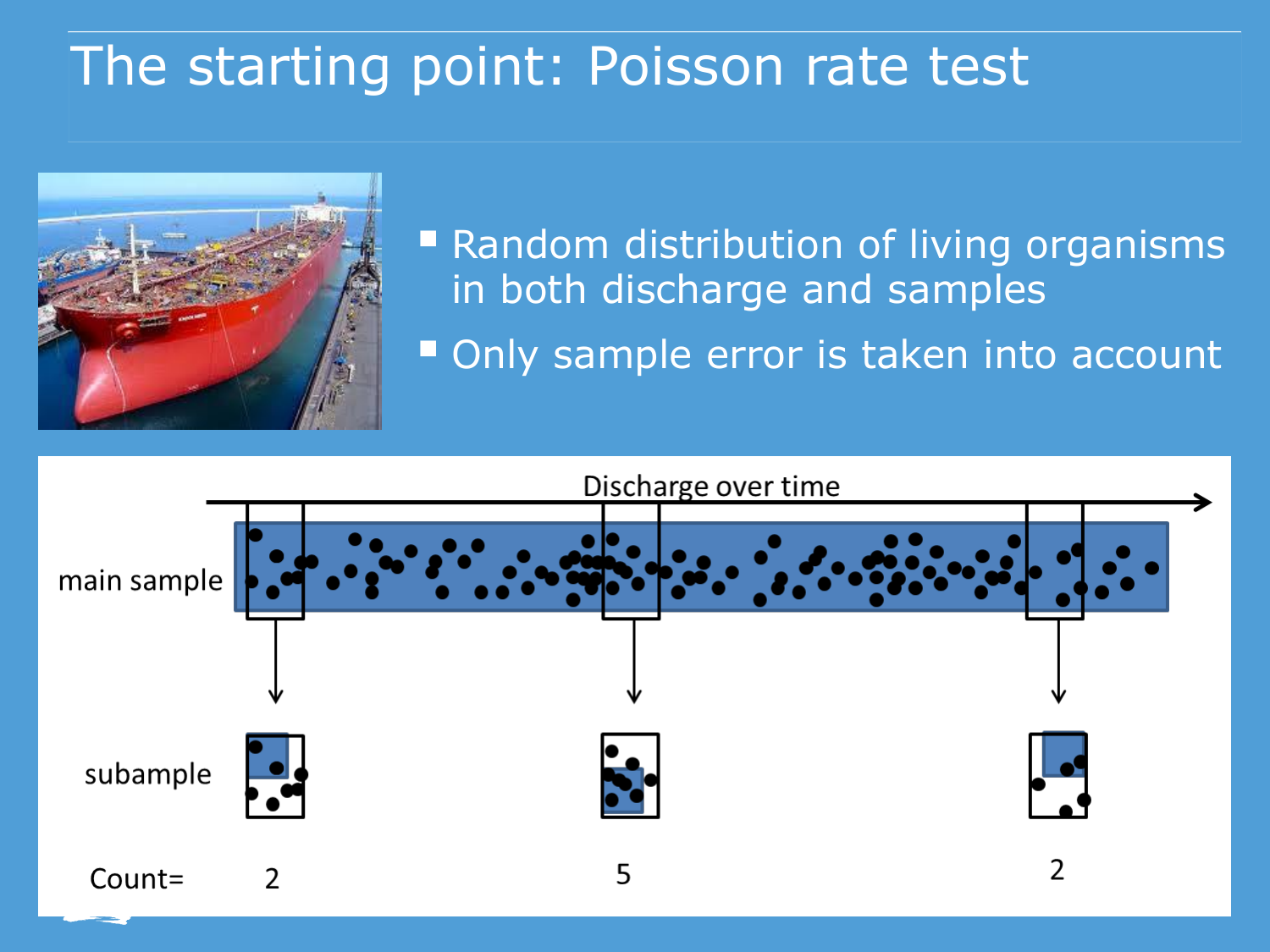## The starting point: Poisson rate test



■ Random distribution of living organisms in both discharge and samples

Only sample error is taken into account

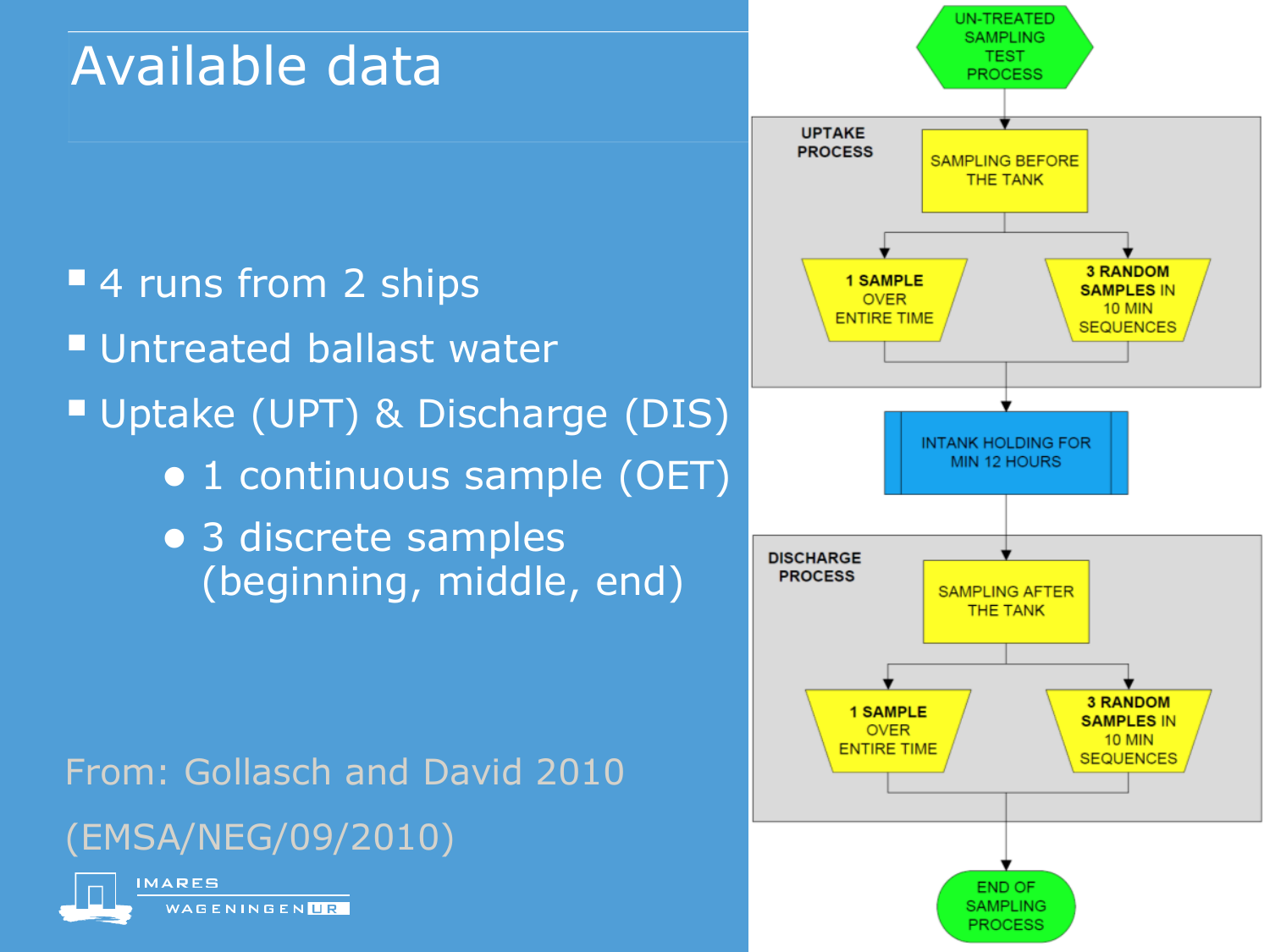## Available data

- **4 runs from 2 ships Untreated ballast water** Uptake (UPT) & Discharge (DIS) ● 1 continuous sample (OET)
	- 3 discrete samples (beginning, middle, end)

From: Gollasch and David 2010 (EMSA/NEG/09/2010)



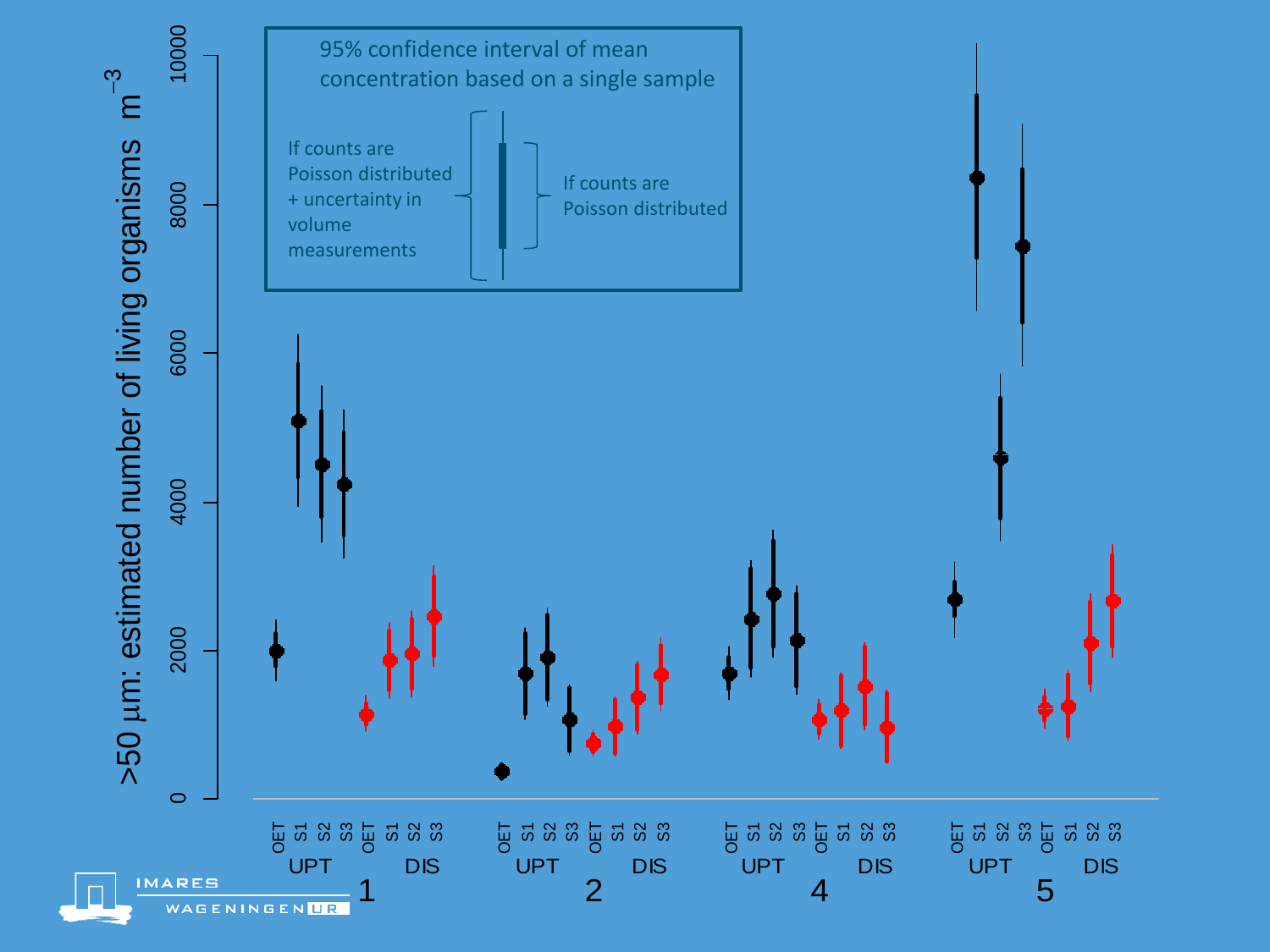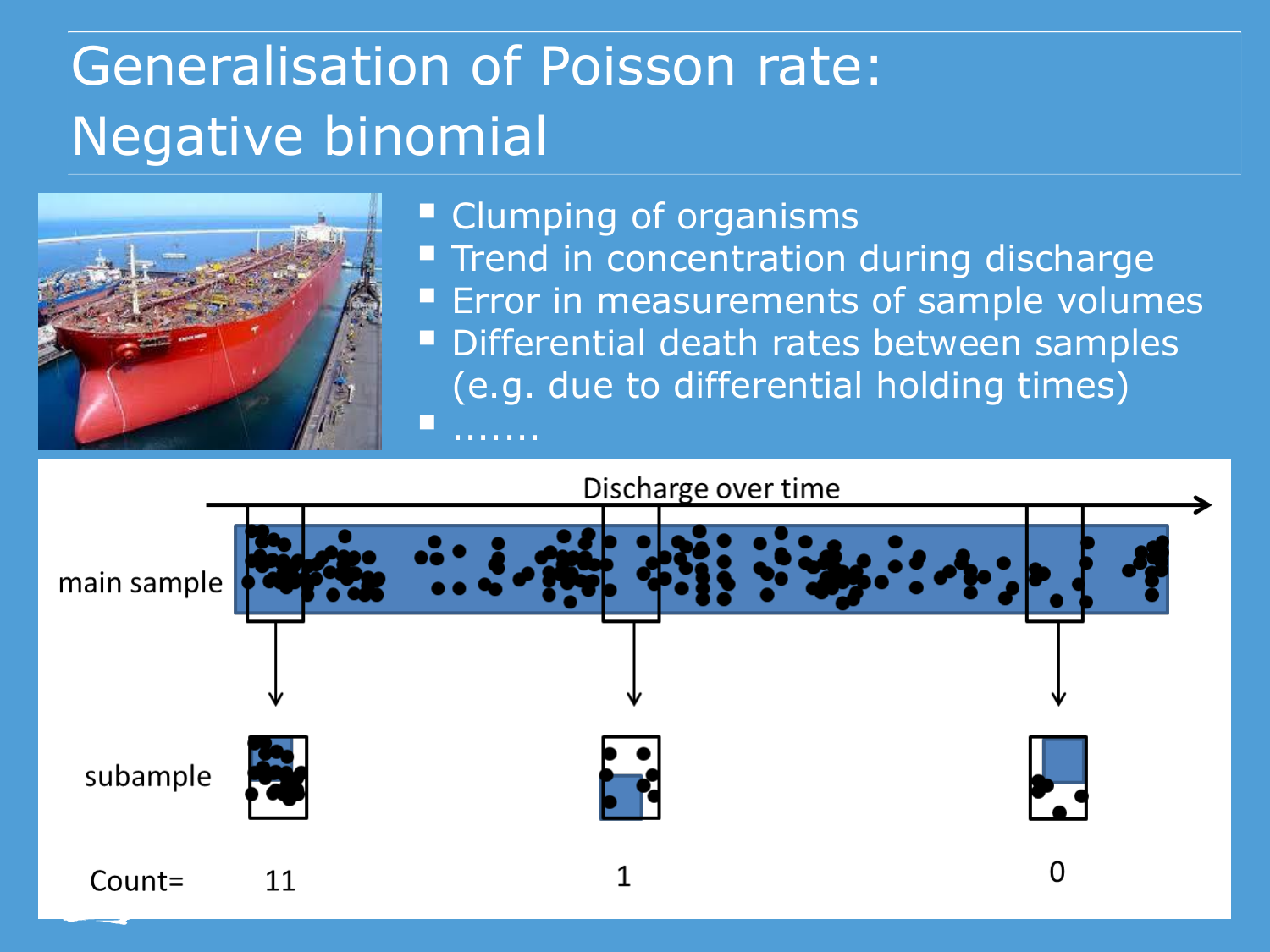## Generalisation of Poisson rate: Negative binomial



#### **Clumping of organisms Trend in concentration during discharge Error in measurements of sample volumes** Differential death rates between samples (e.g. due to differential holding times) .......

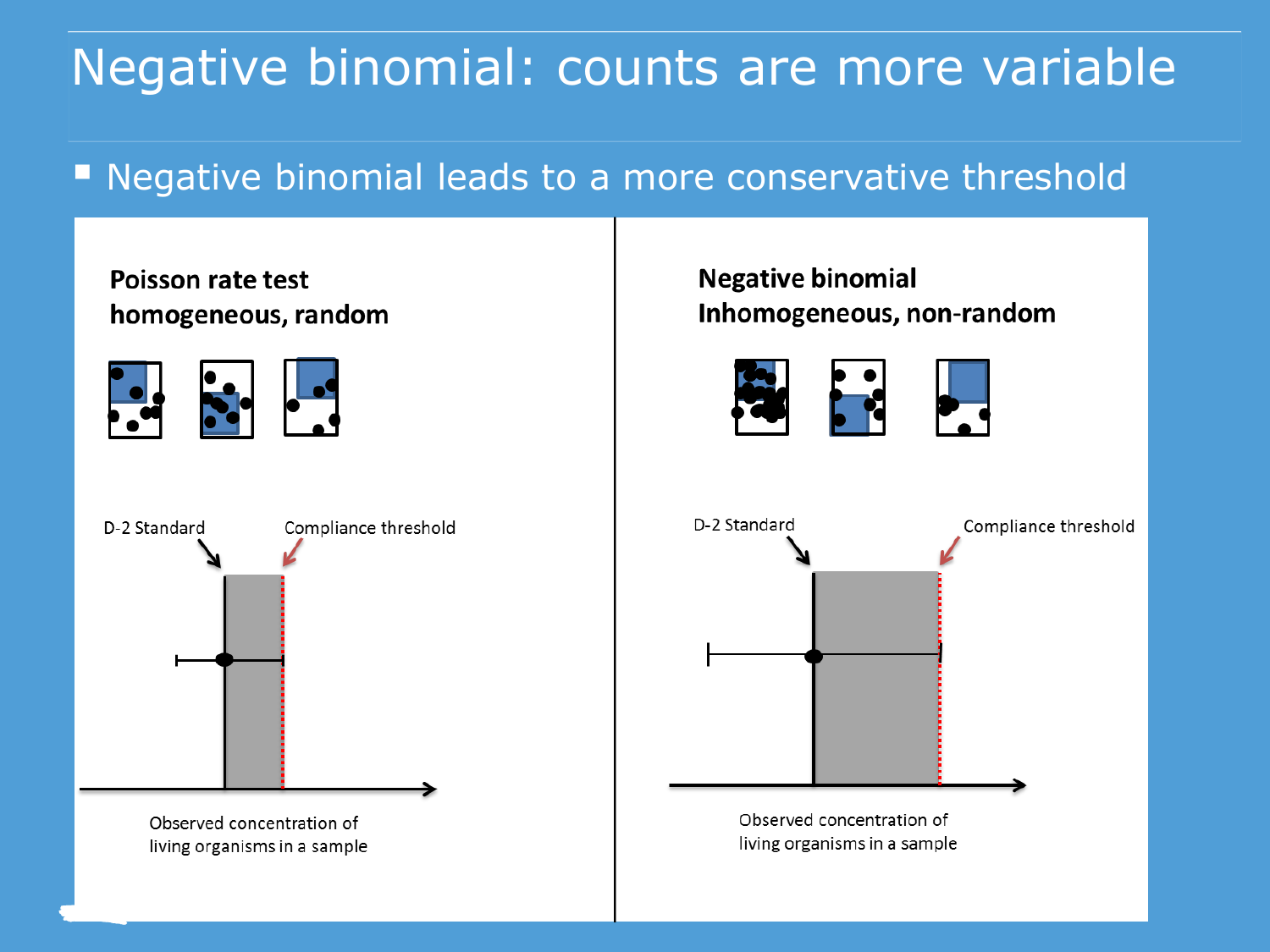### Negative binomial: counts are more variable

#### **Negative binomial leads to a more conservative threshold**



#### **Negative binomial** Inhomogeneous, non-random





Observed concentration of living organisms in a sample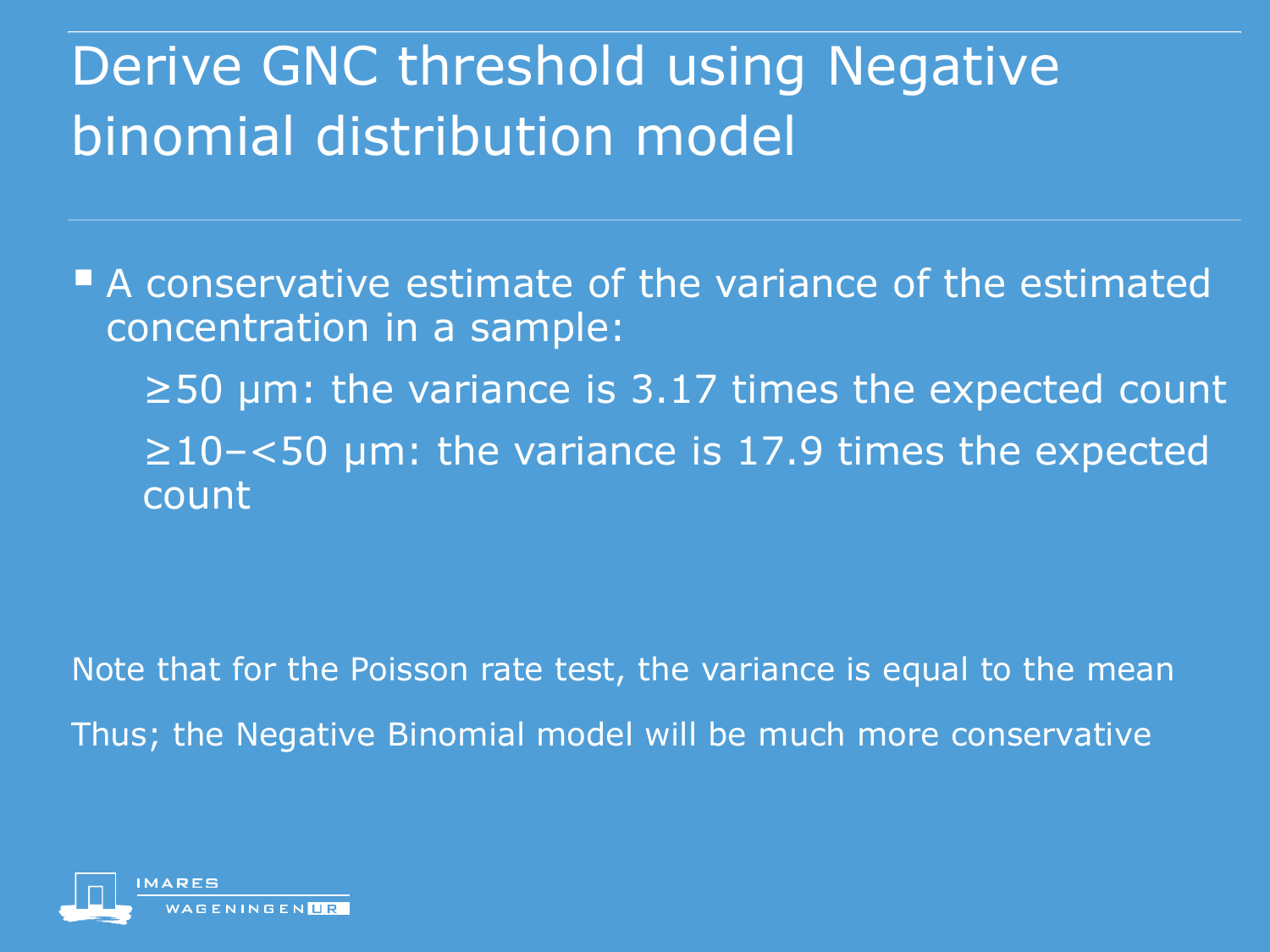## Derive GNC threshold using Negative binomial distribution model

**A** conservative estimate of the variance of the estimated concentration in a sample: ≥50 µm: the variance is 3.17 times the expected count ≥10–<50 µm: the variance is 17.9 times the expected count

Note that for the Poisson rate test, the variance is equal to the mean Thus; the Negative Binomial model will be much more conservative

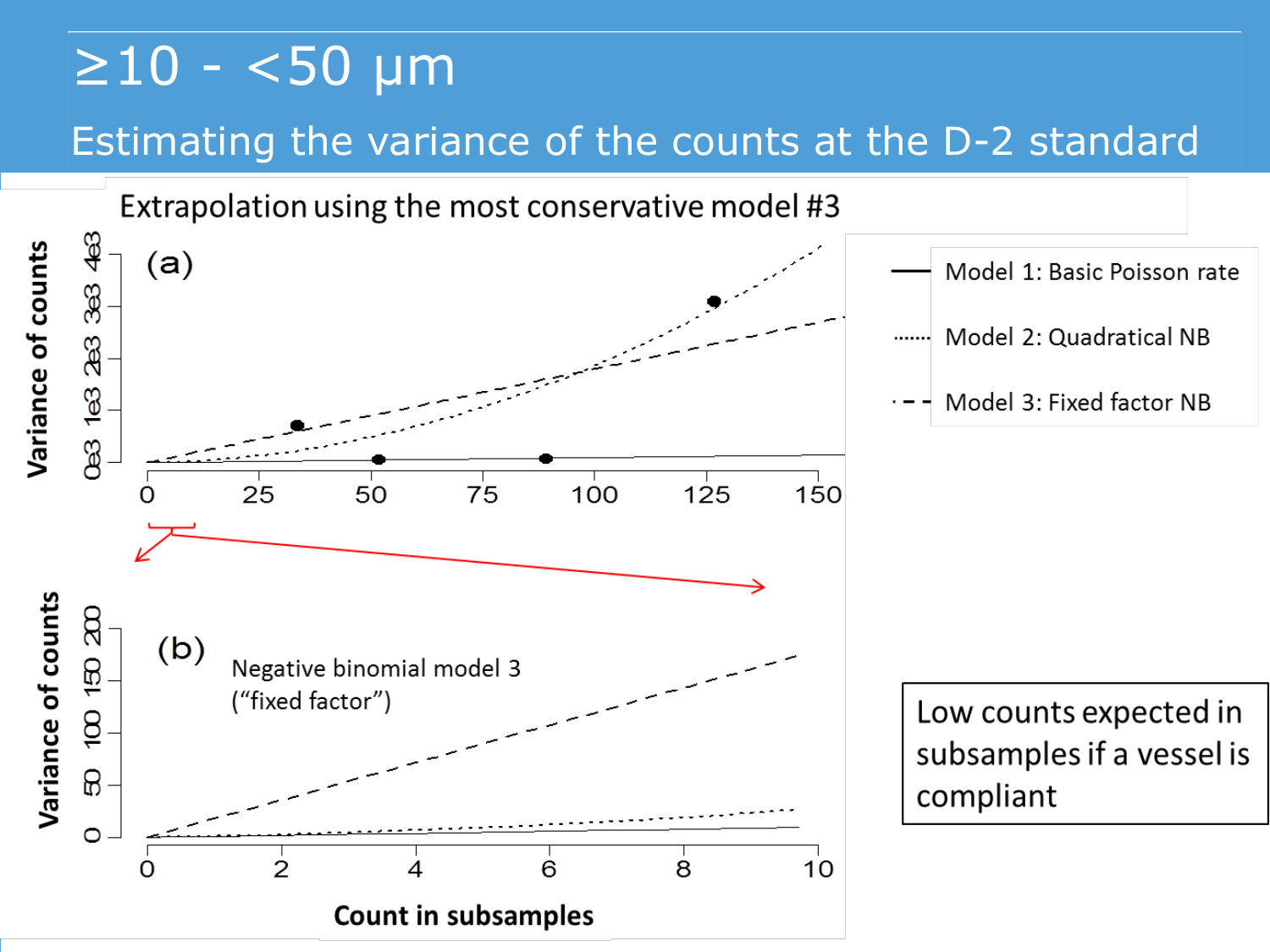## $\geq$ 10 - <50 µm

### Estimating the variance of the counts at the D-2 standard

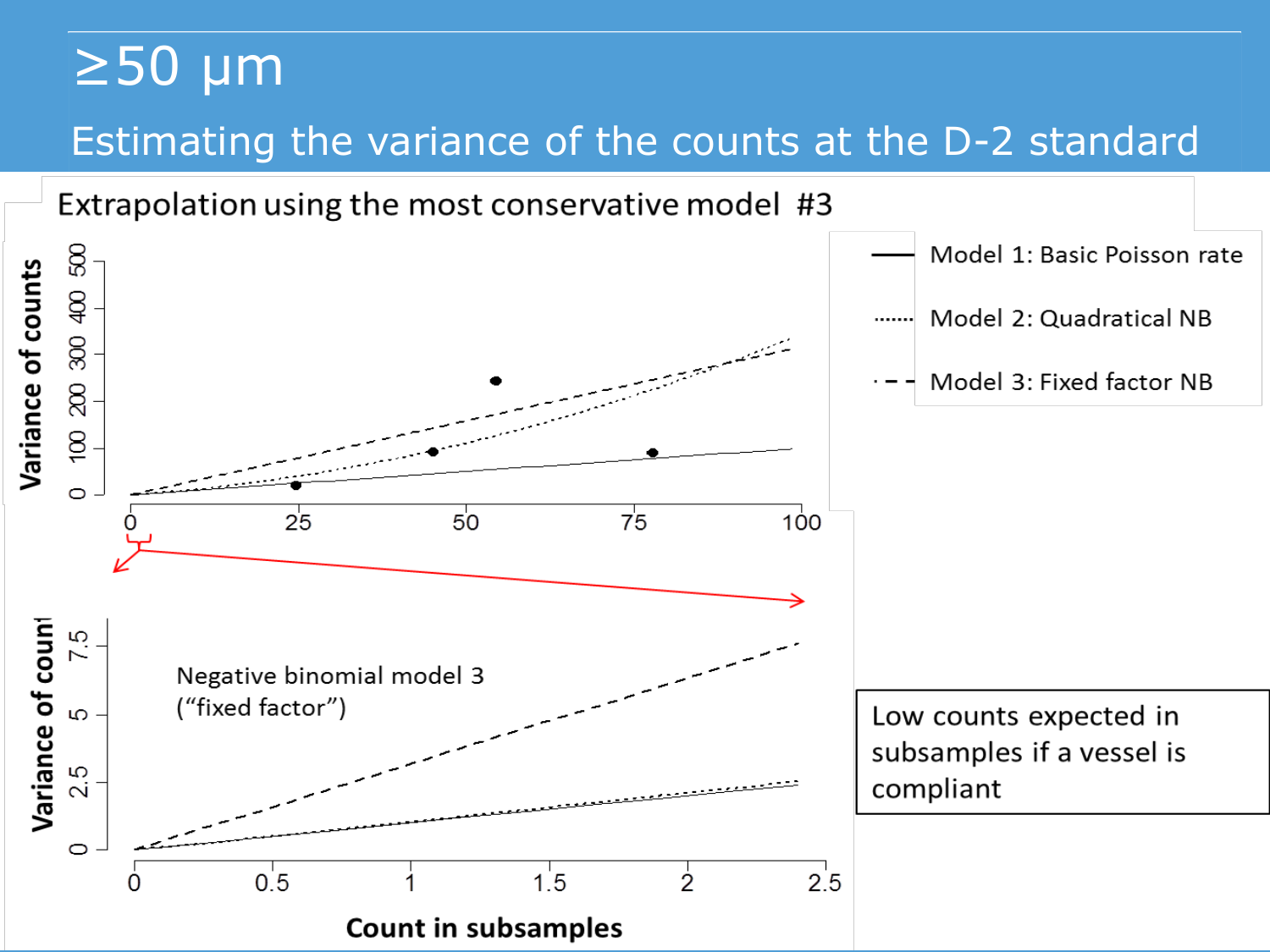## ≥50 µm Estimating the variance of the counts at the D-2 standard

Extrapolation using the most conservative model #3

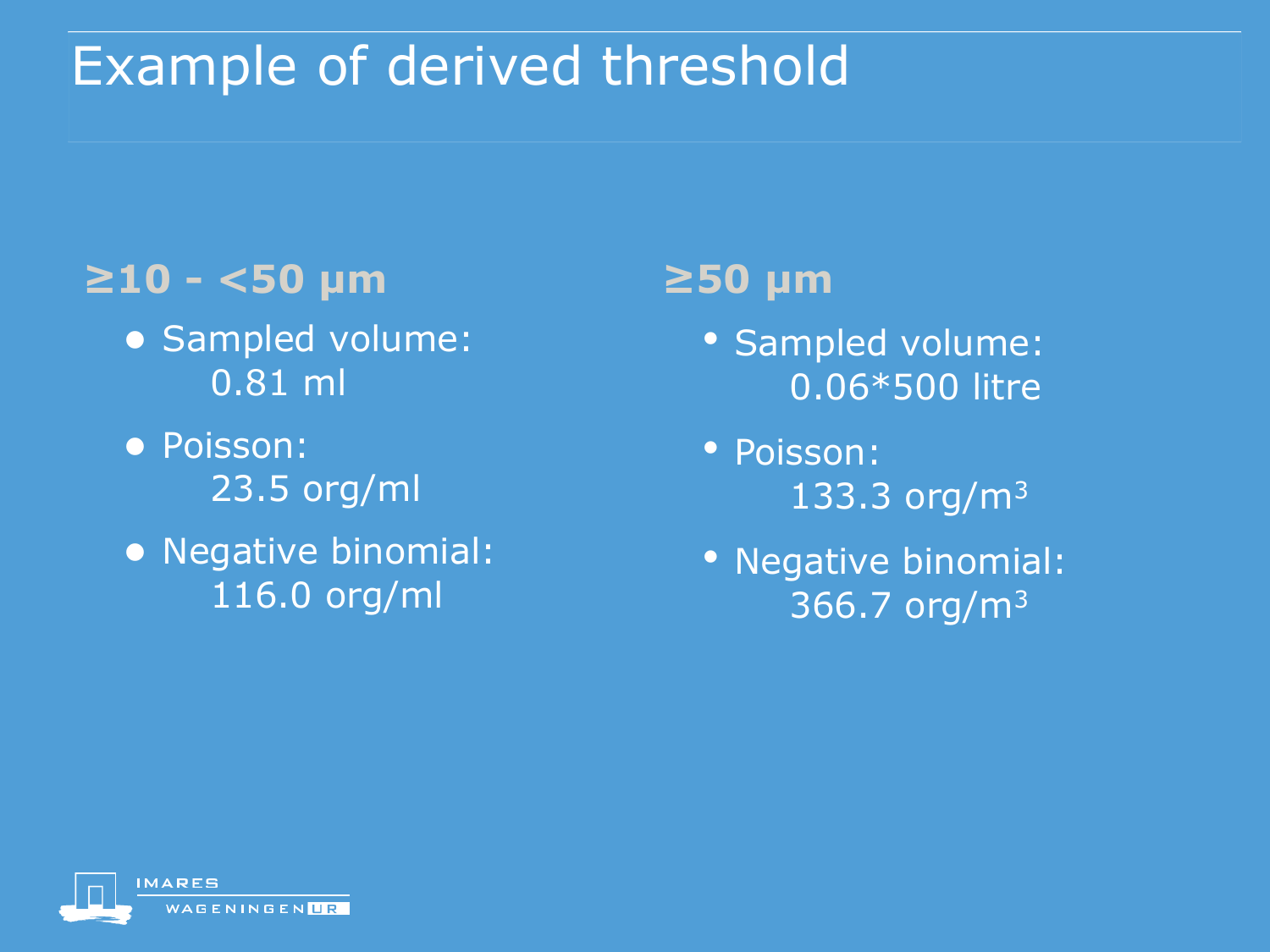## Example of derived threshold

### **≥10 - <50 µm**

- Sampled volume: 0.81 ml
- Poisson: 23.5 org/ml
- Negative binomial: 116.0 org/ml

### **≥50 µm**

- Sampled volume: 0.06\*500 litre
- Poisson: 133.3 org/m<sup>3</sup>
- Negative binomial: 366.7 org/m3

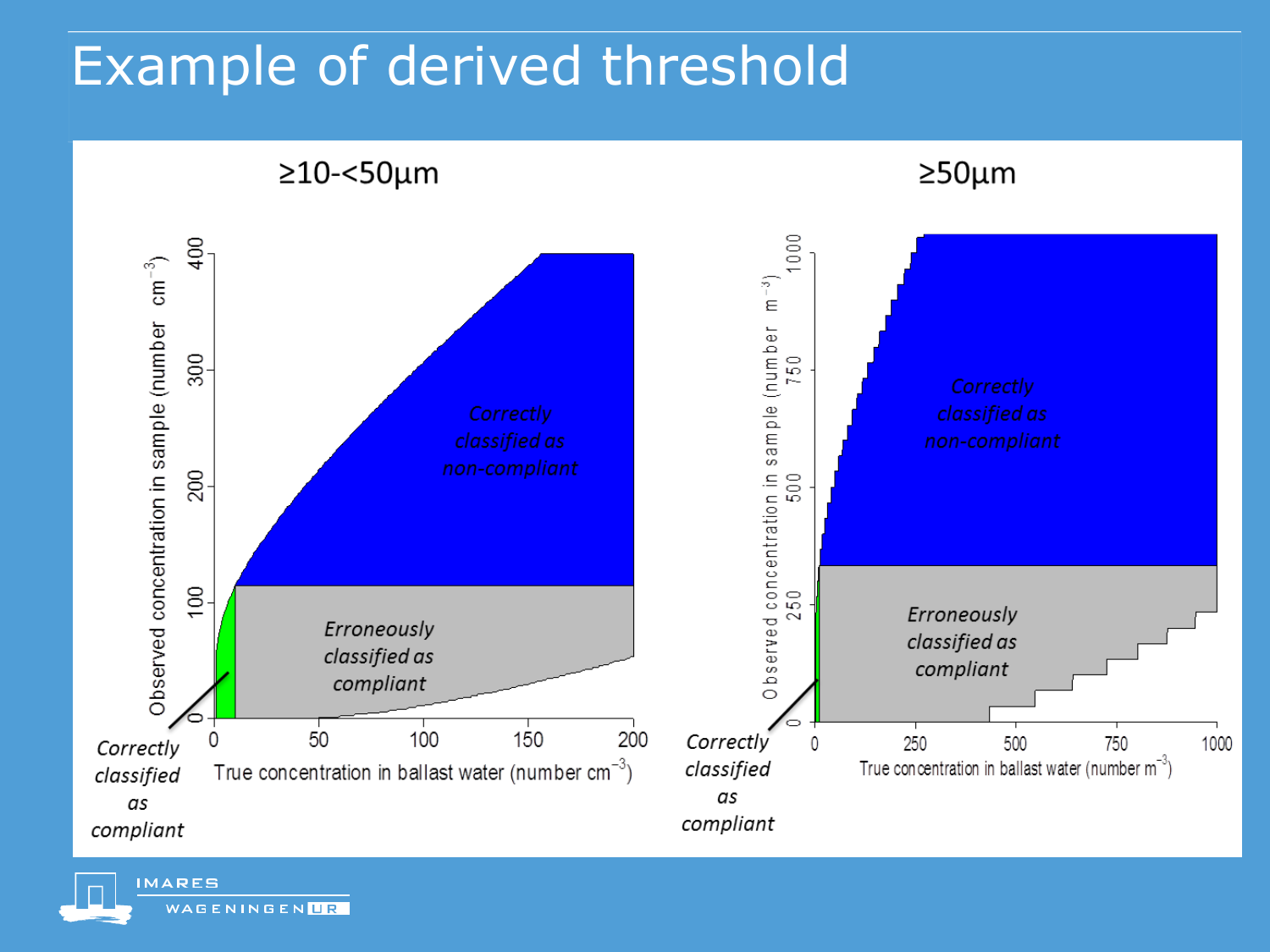## Example of derived threshold



**MARES** WAGENINGENLR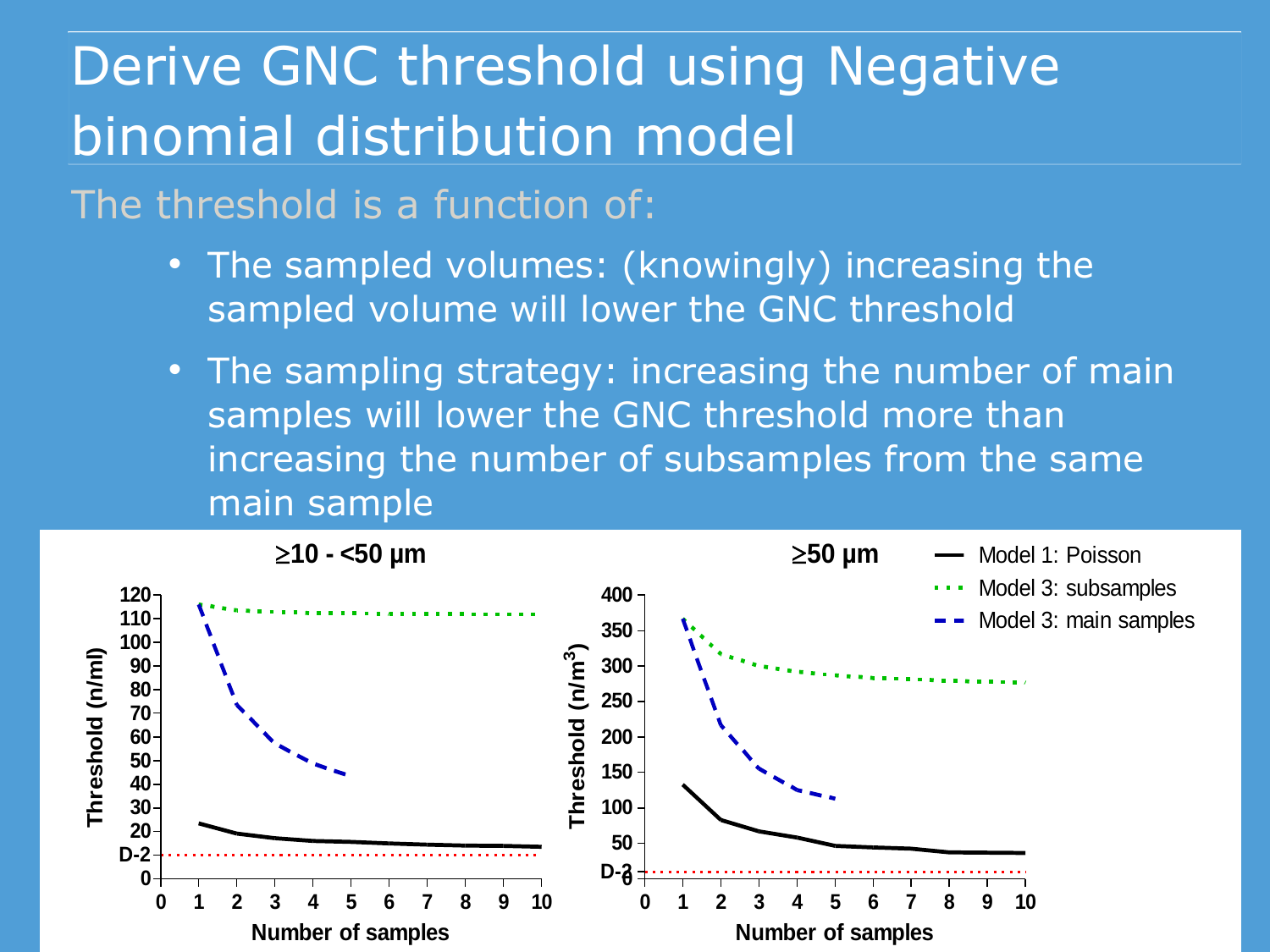## Derive GNC threshold using Negative binomial distribution model

The threshold is a function of:

- The sampled volumes: (knowingly) increasing the sampled volume will lower the GNC threshold
- The sampling strategy: increasing the number of main samples will lower the GNC threshold more than increasing the number of subsamples from the same main sample

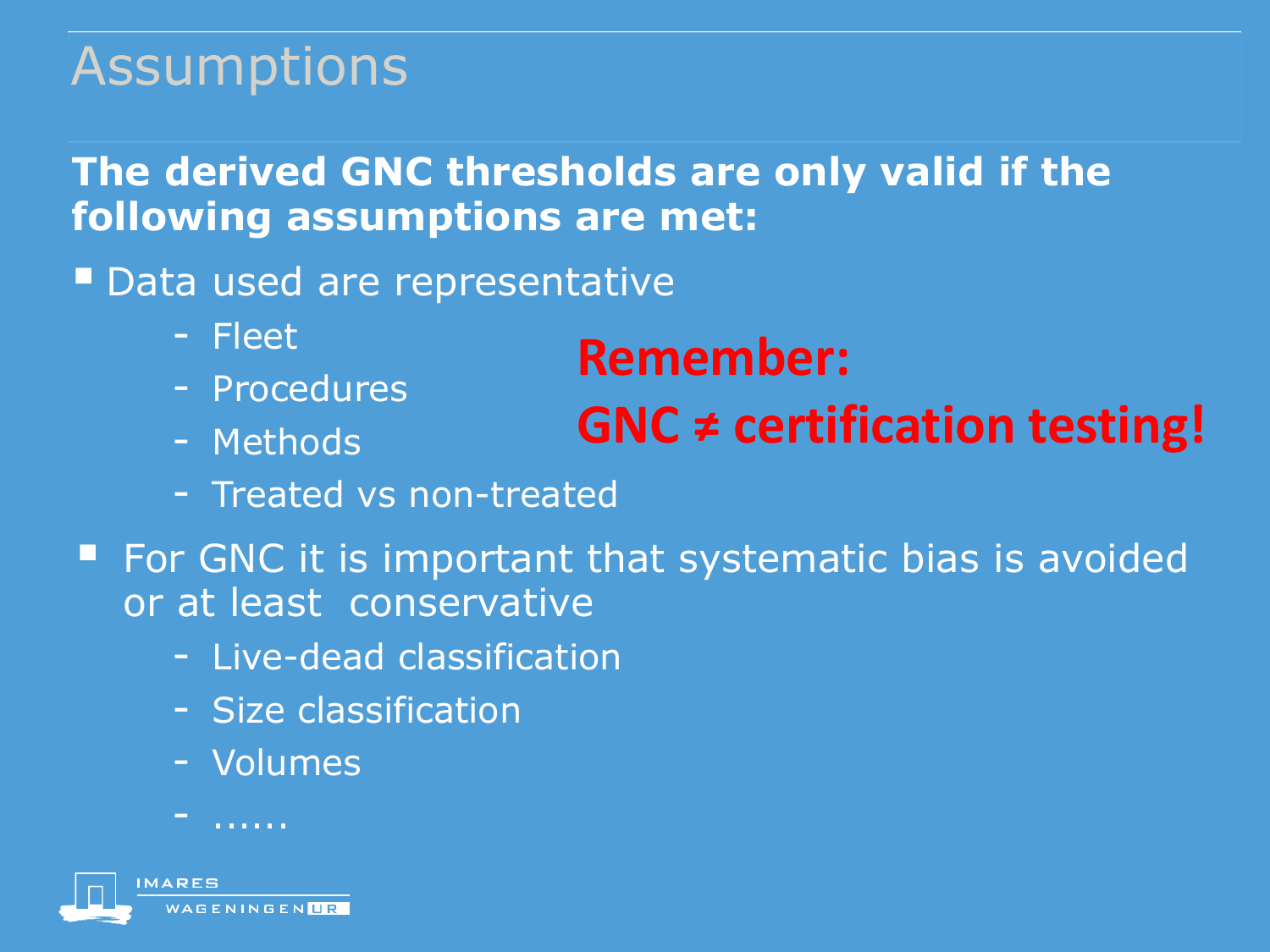## Assumptions

### **The derived GNC thresholds are only valid if the following assumptions are met:**

**Data used are representative** 

- Fleet
- Procedures
- Methods

### **Remember:**

### **GNC ≠ certification testing!**

- Treated vs non-treated
- For GNC it is important that systematic bias is avoided or at least conservative
	- Live-dead classification
	- Size classification
	- Volumes

- ......